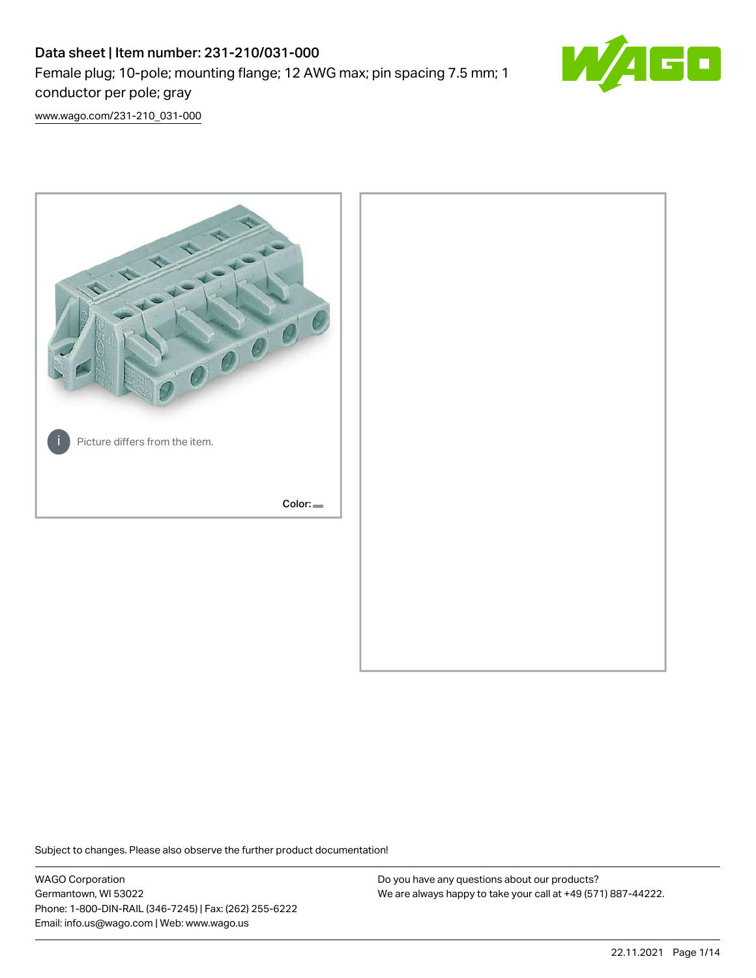# Data sheet | Item number: 231-210/031-000 Female plug; 10-pole; mounting flange; 12 AWG max; pin spacing 7.5 mm; 1 conductor per pole; gray



[www.wago.com/231-210\\_031-000](http://www.wago.com/231-210_031-000)



Subject to changes. Please also observe the further product documentation!

WAGO Corporation Germantown, WI 53022 Phone: 1-800-DIN-RAIL (346-7245) | Fax: (262) 255-6222 Email: info.us@wago.com | Web: www.wago.us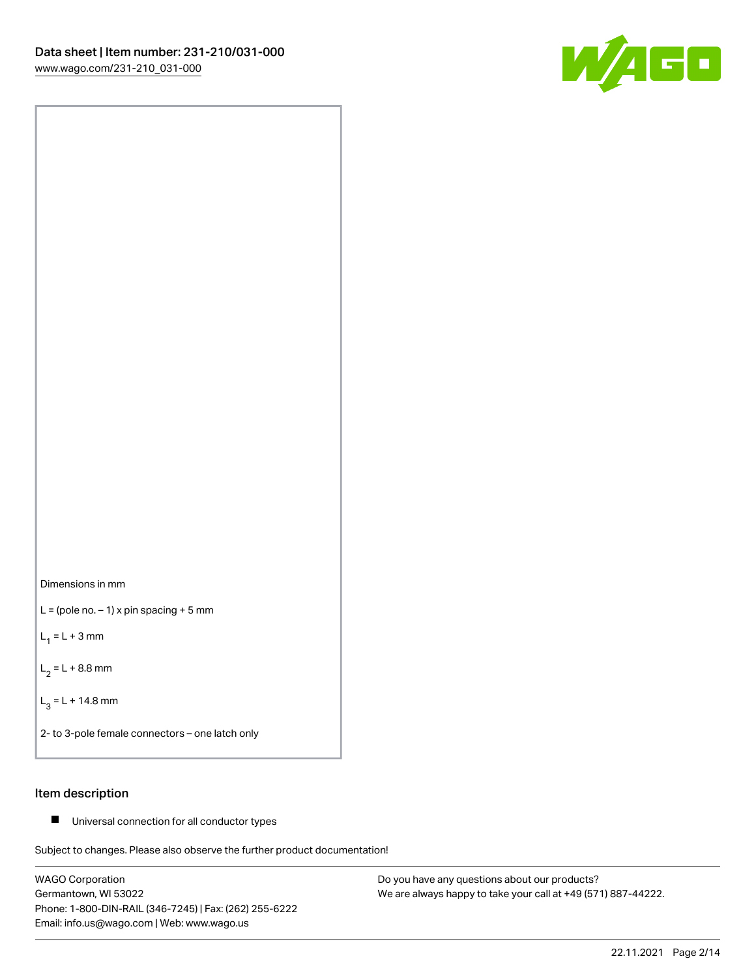



 $L =$  (pole no.  $-1$ ) x pin spacing + 5 mm

 $L_1 = L + 3$  mm

 $L_2 = L + 8.8$  mm

 $L_3 = L + 14.8$  mm

2- to 3-pole female connectors – one latch only

# Item description

■ Universal connection for all conductor types

Subject to changes. Please also observe the further product documentation!

WAGO Corporation Germantown, WI 53022 Phone: 1-800-DIN-RAIL (346-7245) | Fax: (262) 255-6222 Email: info.us@wago.com | Web: www.wago.us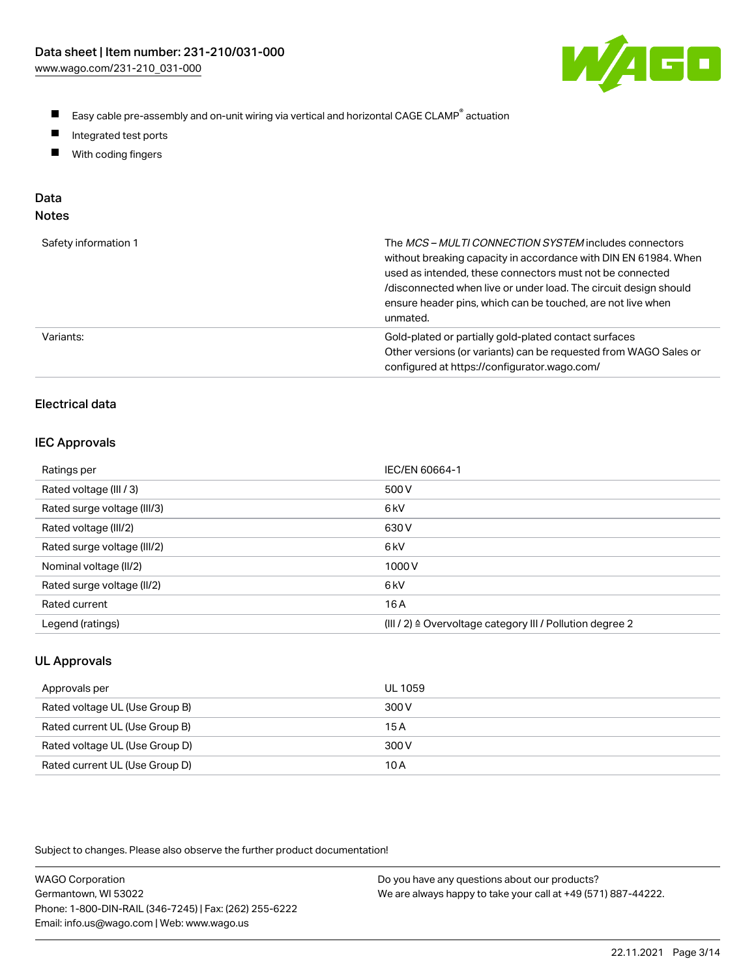

- $\blacksquare$ Easy cable pre-assembly and on-unit wiring via vertical and horizontal CAGE CLAMP<sup>®</sup> actuation
- $\blacksquare$ Integrated test ports
- $\blacksquare$ With coding fingers

# Data

| ×<br>×<br>M.<br>٠<br>۹<br>۰, |  |
|------------------------------|--|
|------------------------------|--|

| Safety information 1 | The MCS-MULTI CONNECTION SYSTEM includes connectors<br>without breaking capacity in accordance with DIN EN 61984. When<br>used as intended, these connectors must not be connected<br>/disconnected when live or under load. The circuit design should<br>ensure header pins, which can be touched, are not live when<br>unmated. |
|----------------------|-----------------------------------------------------------------------------------------------------------------------------------------------------------------------------------------------------------------------------------------------------------------------------------------------------------------------------------|
| Variants:            | Gold-plated or partially gold-plated contact surfaces<br>Other versions (or variants) can be requested from WAGO Sales or<br>configured at https://configurator.wago.com/                                                                                                                                                         |

# Electrical data

#### IEC Approvals

| Ratings per                 | IEC/EN 60664-1                                                        |
|-----------------------------|-----------------------------------------------------------------------|
| Rated voltage (III / 3)     | 500 V                                                                 |
| Rated surge voltage (III/3) | 6 <sub>k</sub> V                                                      |
| Rated voltage (III/2)       | 630 V                                                                 |
| Rated surge voltage (III/2) | 6 <sub>k</sub> V                                                      |
| Nominal voltage (II/2)      | 1000V                                                                 |
| Rated surge voltage (II/2)  | 6 <sub>k</sub> V                                                      |
| Rated current               | 16 A                                                                  |
| Legend (ratings)            | $(III / 2)$ $\triangle$ Overvoltage category III / Pollution degree 2 |

# UL Approvals

| Approvals per                  | UL 1059 |
|--------------------------------|---------|
| Rated voltage UL (Use Group B) | 300 V   |
| Rated current UL (Use Group B) | 15 A    |
| Rated voltage UL (Use Group D) | 300 V   |
| Rated current UL (Use Group D) | 10 A    |

| <b>WAGO Corporation</b>                                | Do you have any questions about our products?                 |
|--------------------------------------------------------|---------------------------------------------------------------|
| Germantown, WI 53022                                   | We are always happy to take your call at +49 (571) 887-44222. |
| Phone: 1-800-DIN-RAIL (346-7245)   Fax: (262) 255-6222 |                                                               |
| Email: info.us@wago.com   Web: www.wago.us             |                                                               |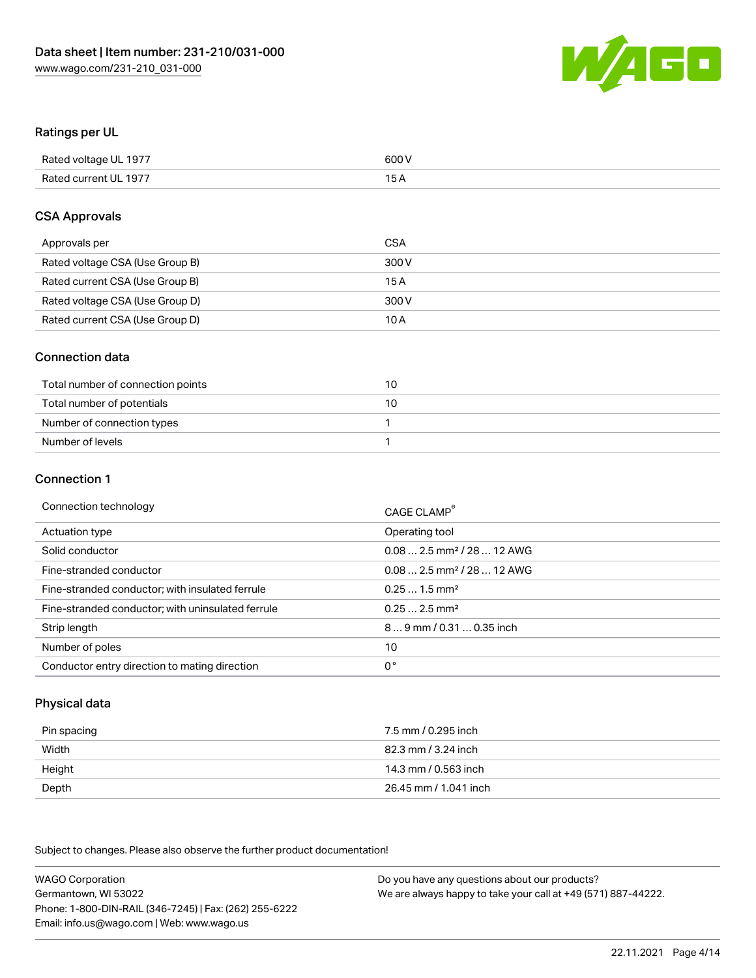

#### Ratings per UL

| Rated voltage UL 1977 | 600 V |
|-----------------------|-------|
| Rated current UL 1977 | 1 E   |

#### CSA Approvals

| Approvals per                   | CSA   |
|---------------------------------|-------|
| Rated voltage CSA (Use Group B) | 300 V |
| Rated current CSA (Use Group B) | 15 A  |
| Rated voltage CSA (Use Group D) | 300 V |
| Rated current CSA (Use Group D) | 10 A  |

#### Connection data

| Total number of connection points | 10 |
|-----------------------------------|----|
| Total number of potentials        | 10 |
| Number of connection types        |    |
| Number of levels                  |    |

#### Connection 1

| Connection technology                             | CAGE CLAMP <sup>®</sup>                |
|---------------------------------------------------|----------------------------------------|
| Actuation type                                    | Operating tool                         |
| Solid conductor                                   | $0.082.5$ mm <sup>2</sup> / 28  12 AWG |
| Fine-stranded conductor                           | $0.082.5$ mm <sup>2</sup> / 28  12 AWG |
| Fine-stranded conductor; with insulated ferrule   | $0.251.5$ mm <sup>2</sup>              |
| Fine-stranded conductor; with uninsulated ferrule | $0.252.5$ mm <sup>2</sup>              |
| Strip length                                      | 89 mm / 0.31  0.35 inch                |
| Number of poles                                   | 10                                     |
| Conductor entry direction to mating direction     | 0°                                     |

# Physical data

| Pin spacing | 7.5 mm / 0.295 inch   |
|-------------|-----------------------|
| Width       | 82.3 mm / 3.24 inch   |
| Height      | 14.3 mm / 0.563 inch  |
| Depth       | 26.45 mm / 1.041 inch |

Subject to changes. Please also observe the further product documentation!

WAGO Corporation Germantown, WI 53022 Phone: 1-800-DIN-RAIL (346-7245) | Fax: (262) 255-6222 Email: info.us@wago.com | Web: www.wago.us Do you have any questions about our products? We are always happy to take your call at +49 (571) 887-44222.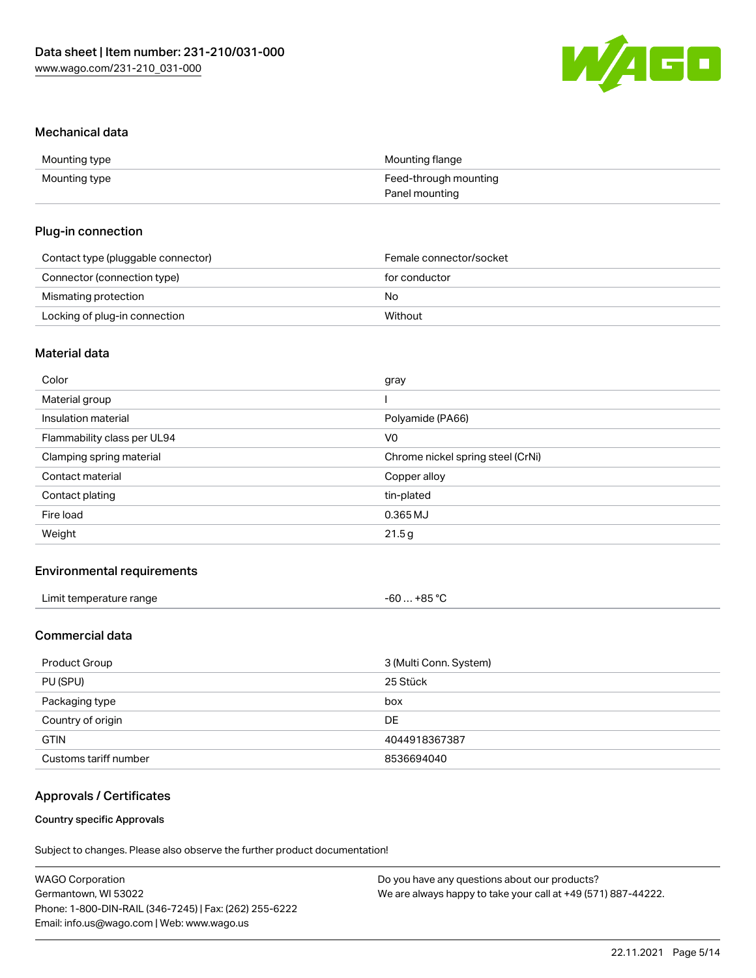

#### Mechanical data

| Mounting type | Mounting flange       |
|---------------|-----------------------|
| Mounting type | Feed-through mounting |
|               | Panel mounting        |

#### Plug-in connection

| Contact type (pluggable connector) | Female connector/socket |
|------------------------------------|-------------------------|
| Connector (connection type)        | for conductor           |
| Mismating protection               | No                      |
| Locking of plug-in connection      | Without                 |

# Material data

| Color                       | gray                              |
|-----------------------------|-----------------------------------|
| Material group              |                                   |
| Insulation material         | Polyamide (PA66)                  |
| Flammability class per UL94 | V <sub>0</sub>                    |
| Clamping spring material    | Chrome nickel spring steel (CrNi) |
| Contact material            | Copper alloy                      |
| Contact plating             | tin-plated                        |
| Fire load                   | $0.365$ MJ                        |
| Weight                      | 21.5g                             |
|                             |                                   |

## Environmental requirements

| Limit temperature range<br>. | $-60+85 °C$<br>___<br>$\sim$<br>___ |
|------------------------------|-------------------------------------|
|------------------------------|-------------------------------------|

# Commercial data

| Product Group         | 3 (Multi Conn. System) |  |
|-----------------------|------------------------|--|
| PU (SPU)              | 25 Stück               |  |
| Packaging type        | box                    |  |
| Country of origin     | DE                     |  |
| <b>GTIN</b>           | 4044918367387          |  |
| Customs tariff number | 8536694040             |  |

## Approvals / Certificates

#### Country specific Approvals

| <b>WAGO Corporation</b>                                | Do you have any questions about our products?                 |
|--------------------------------------------------------|---------------------------------------------------------------|
| Germantown, WI 53022                                   | We are always happy to take your call at +49 (571) 887-44222. |
| Phone: 1-800-DIN-RAIL (346-7245)   Fax: (262) 255-6222 |                                                               |
| Email: info.us@wago.com   Web: www.wago.us             |                                                               |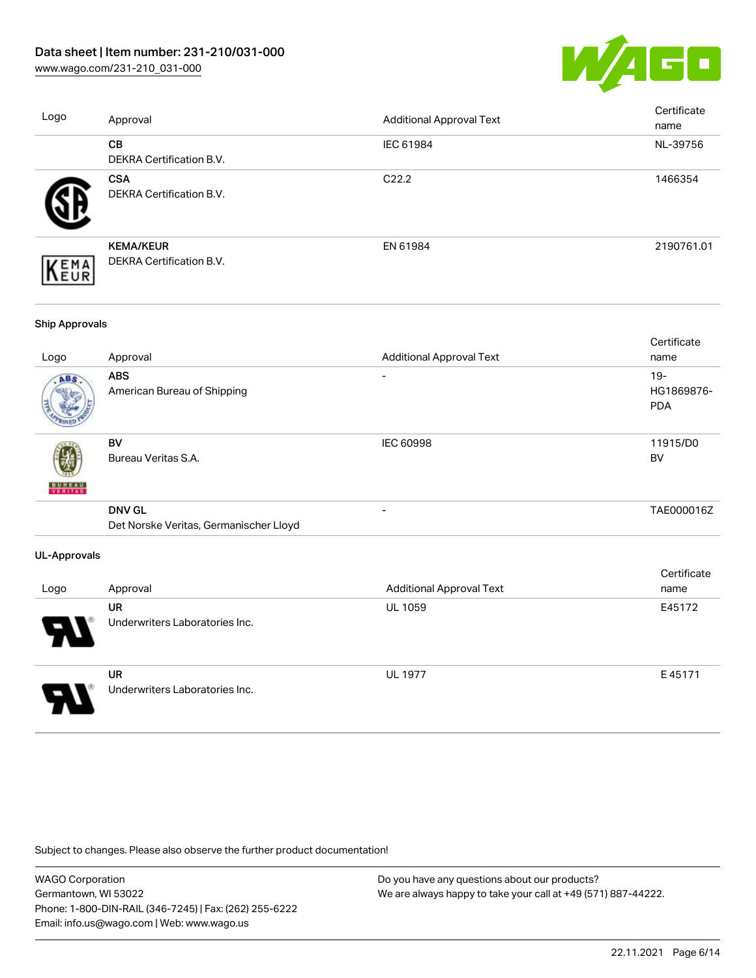[www.wago.com/231-210\\_031-000](http://www.wago.com/231-210_031-000)



| Logo              | Approval                                     | <b>Additional Approval Text</b> | Certificate<br>name |
|-------------------|----------------------------------------------|---------------------------------|---------------------|
|                   | CB<br><b>DEKRA Certification B.V.</b>        | IEC 61984                       | NL-39756            |
|                   | <b>CSA</b><br>DEKRA Certification B.V.       | C <sub>22.2</sub>               | 1466354             |
| EMA<br><b>EUR</b> | <b>KEMA/KEUR</b><br>DEKRA Certification B.V. | EN 61984                        | 2190761.01          |
|                   |                                              |                                 |                     |

#### Ship Approvals

| Logo                     | Approval                                                | <b>Additional Approval Text</b> | Certificate<br>name                |
|--------------------------|---------------------------------------------------------|---------------------------------|------------------------------------|
| ABS                      | <b>ABS</b><br>American Bureau of Shipping               | -                               | $19 -$<br>HG1869876-<br><b>PDA</b> |
| <b>BUNEAU</b><br>VERITAS | BV<br>Bureau Veritas S.A.                               | IEC 60998                       | 11915/D0<br>BV                     |
|                          | <b>DNV GL</b><br>Det Norske Veritas, Germanischer Lloyd |                                 | TAE000016Z                         |
| UL-Approvals             |                                                         |                                 |                                    |
| Logo                     | Approval                                                | <b>Additional Approval Text</b> | Certificate<br>name                |
|                          | <b>UR</b><br>Underwriters Laboratories Inc.             | <b>UL 1059</b>                  | E45172                             |



UR Underwriters Laboratories Inc. UL 1977 E 45171

Subject to changes. Please also observe the further product documentation!

WAGO Corporation Germantown, WI 53022 Phone: 1-800-DIN-RAIL (346-7245) | Fax: (262) 255-6222 Email: info.us@wago.com | Web: www.wago.us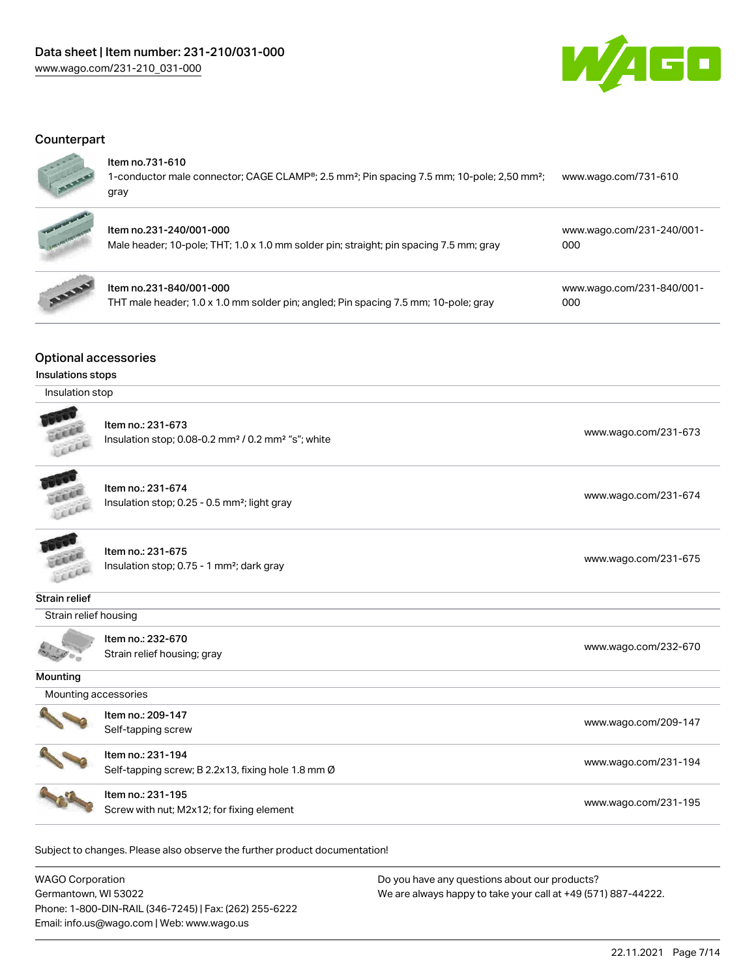

## **Counterpart**

#### Item no.731-610

Item no.231-840/001-000

1-conductor male connector; CAGE CLAMP®; 2.5 mm²; Pin spacing 7.5 mm; 10-pole; 2,50 mm²; gray [www.wago.com/731-610](https://www.wago.com/731-610)



# Item no.231-240/001-000 Male header; 10-pole; THT; 1.0 x 1.0 mm solder pin; straight; pin spacing 7.5 mm; gray

THT male header; 1.0 x 1.0 mm solder pin; angled; Pin spacing 7.5 mm; 10-pole; gray

[www.wago.com/231-840/001-](https://www.wago.com/231-840/001-000) [000](https://www.wago.com/231-840/001-000)

[www.wago.com/231-240/001-](https://www.wago.com/231-240/001-000)

[000](https://www.wago.com/231-240/001-000)

# Optional accessories

#### Insulations stops

| Insulation stop |  |
|-----------------|--|
|-----------------|--|

|                      | Item no.: 231-673<br>Insulation stop; 0.08-0.2 mm <sup>2</sup> / 0.2 mm <sup>2</sup> "s"; white | www.wago.com/231-673 |  |  |
|----------------------|-------------------------------------------------------------------------------------------------|----------------------|--|--|
|                      | Item no.: 231-674<br>Insulation stop; 0.25 - 0.5 mm <sup>2</sup> ; light gray                   | www.wago.com/231-674 |  |  |
|                      | Item no.: 231-675<br>Insulation stop; 0.75 - 1 mm <sup>2</sup> ; dark gray                      | www.wago.com/231-675 |  |  |
| Strain relief        |                                                                                                 |                      |  |  |
|                      | Strain relief housing                                                                           |                      |  |  |
|                      | Item no.: 232-670<br>Strain relief housing; gray                                                | www.wago.com/232-670 |  |  |
| Mounting             |                                                                                                 |                      |  |  |
| Mounting accessories |                                                                                                 |                      |  |  |
|                      | Item no.: 209-147<br>Self-tapping screw                                                         | www.wago.com/209-147 |  |  |
|                      | Item no.: 231-194<br>Self-tapping screw; B 2.2x13, fixing hole 1.8 mm Ø                         | www.wago.com/231-194 |  |  |
|                      | Item no.: 231-195<br>Screw with nut; M2x12; for fixing element                                  | www.wago.com/231-195 |  |  |
|                      |                                                                                                 |                      |  |  |

Subject to changes. Please also observe the further product documentation!

WAGO Corporation Germantown, WI 53022 Phone: 1-800-DIN-RAIL (346-7245) | Fax: (262) 255-6222 Email: info.us@wago.com | Web: www.wago.us Do you have any questions about our products? We are always happy to take your call at +49 (571) 887-44222.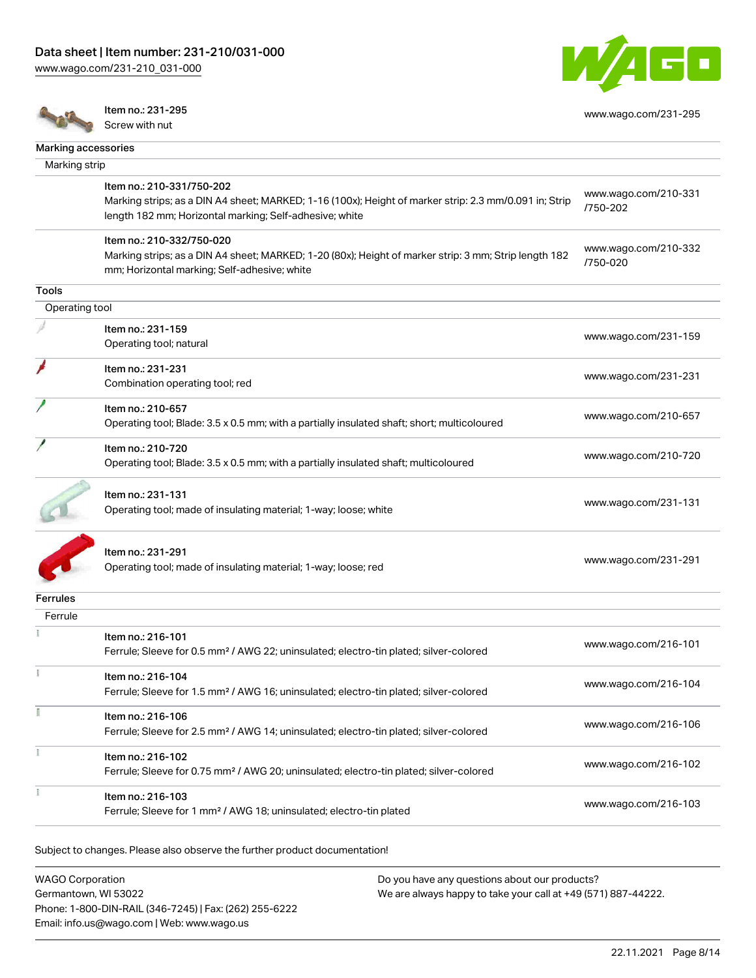[www.wago.com/231-210\\_031-000](http://www.wago.com/231-210_031-000)



[www.wago.com/231-295](http://www.wago.com/231-295)

Item no.: 231-295 Screw with nut

| Marking accessories |                                                                                                        |                      |
|---------------------|--------------------------------------------------------------------------------------------------------|----------------------|
| Marking strip       |                                                                                                        |                      |
|                     |                                                                                                        |                      |
|                     | Item no.: 210-331/750-202                                                                              | www.wago.com/210-331 |
|                     | Marking strips; as a DIN A4 sheet; MARKED; 1-16 (100x); Height of marker strip: 2.3 mm/0.091 in; Strip | /750-202             |
|                     | length 182 mm; Horizontal marking; Self-adhesive; white                                                |                      |
|                     | Item no.: 210-332/750-020                                                                              |                      |
|                     | Marking strips; as a DIN A4 sheet; MARKED; 1-20 (80x); Height of marker strip: 3 mm; Strip length 182  | www.wago.com/210-332 |
|                     | mm; Horizontal marking; Self-adhesive; white                                                           | /750-020             |
| Tools               |                                                                                                        |                      |
|                     |                                                                                                        |                      |
| Operating tool      |                                                                                                        |                      |
|                     | Item no.: 231-159                                                                                      | www.wago.com/231-159 |
|                     | Operating tool; natural                                                                                |                      |
|                     | Item no.: 231-231                                                                                      |                      |
|                     | Combination operating tool; red                                                                        | www.wago.com/231-231 |
|                     |                                                                                                        |                      |
|                     | Item no.: 210-657                                                                                      | www.wago.com/210-657 |
|                     | Operating tool; Blade: 3.5 x 0.5 mm; with a partially insulated shaft; short; multicoloured            |                      |
|                     | Item no.: 210-720                                                                                      |                      |
|                     | Operating tool; Blade: 3.5 x 0.5 mm; with a partially insulated shaft; multicoloured                   | www.wago.com/210-720 |
|                     |                                                                                                        |                      |
|                     | Item no.: 231-131                                                                                      |                      |
|                     | Operating tool; made of insulating material; 1-way; loose; white                                       | www.wago.com/231-131 |
|                     |                                                                                                        |                      |
|                     |                                                                                                        |                      |
|                     | Item no.: 231-291                                                                                      |                      |
|                     | Operating tool; made of insulating material; 1-way; loose; red                                         | www.wago.com/231-291 |
|                     |                                                                                                        |                      |
| Ferrules            |                                                                                                        |                      |
| Ferrule             |                                                                                                        |                      |
|                     | Item no.: 216-101                                                                                      |                      |
|                     | Ferrule; Sleeve for 0.5 mm <sup>2</sup> / AWG 22; uninsulated; electro-tin plated; silver-colored      | www.wago.com/216-101 |
|                     |                                                                                                        |                      |
|                     | Item no.: 216-104                                                                                      | www.wago.com/216-104 |
|                     | Ferrule; Sleeve for 1.5 mm <sup>2</sup> / AWG 16; uninsulated; electro-tin plated; silver-colored      |                      |
|                     | Item no.: 216-106                                                                                      |                      |
|                     | Ferrule; Sleeve for 2.5 mm <sup>2</sup> / AWG 14; uninsulated; electro-tin plated; silver-colored      | www.wago.com/216-106 |
|                     |                                                                                                        |                      |
|                     | Item no.: 216-102                                                                                      |                      |
|                     | Ferrule; Sleeve for 0.75 mm <sup>2</sup> / AWG 20; uninsulated; electro-tin plated; silver-colored     | www.wago.com/216-102 |
|                     |                                                                                                        |                      |
|                     | Item no.: 216-103<br>Ferrule; Sleeve for 1 mm <sup>2</sup> / AWG 18; uninsulated; electro-tin plated   | www.wago.com/216-103 |
|                     |                                                                                                        |                      |
|                     |                                                                                                        |                      |

Subject to changes. Please also observe the further product documentation!

WAGO Corporation Germantown, WI 53022 Phone: 1-800-DIN-RAIL (346-7245) | Fax: (262) 255-6222 Email: info.us@wago.com | Web: www.wago.us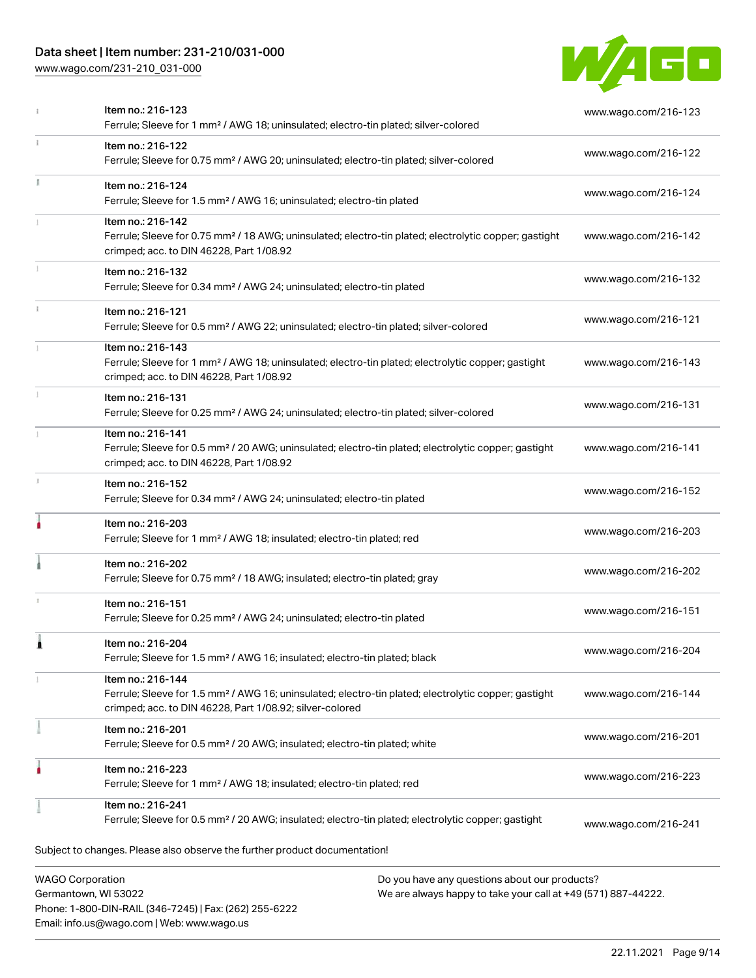# Data sheet | Item number: 231-210/031-000

Phone: 1-800-DIN-RAIL (346-7245) | Fax: (262) 255-6222

Email: info.us@wago.com | Web: www.wago.us

[www.wago.com/231-210\\_031-000](http://www.wago.com/231-210_031-000)



|                                                 | Item no.: 216-123<br>Ferrule; Sleeve for 1 mm <sup>2</sup> / AWG 18; uninsulated; electro-tin plated; silver-colored                                                                              |                                                                                                                | www.wago.com/216-123 |
|-------------------------------------------------|---------------------------------------------------------------------------------------------------------------------------------------------------------------------------------------------------|----------------------------------------------------------------------------------------------------------------|----------------------|
| ı                                               | Item no.: 216-122<br>Ferrule; Sleeve for 0.75 mm <sup>2</sup> / AWG 20; uninsulated; electro-tin plated; silver-colored                                                                           |                                                                                                                | www.wago.com/216-122 |
|                                                 | Item no.: 216-124<br>Ferrule; Sleeve for 1.5 mm <sup>2</sup> / AWG 16; uninsulated; electro-tin plated                                                                                            |                                                                                                                | www.wago.com/216-124 |
|                                                 | Item no.: 216-142<br>Ferrule; Sleeve for 0.75 mm <sup>2</sup> / 18 AWG; uninsulated; electro-tin plated; electrolytic copper; gastight<br>crimped; acc. to DIN 46228, Part 1/08.92                |                                                                                                                | www.wago.com/216-142 |
|                                                 | Item no.: 216-132<br>Ferrule; Sleeve for 0.34 mm <sup>2</sup> / AWG 24; uninsulated; electro-tin plated                                                                                           |                                                                                                                | www.wago.com/216-132 |
|                                                 | Item no.: 216-121<br>Ferrule; Sleeve for 0.5 mm <sup>2</sup> / AWG 22; uninsulated; electro-tin plated; silver-colored                                                                            |                                                                                                                | www.wago.com/216-121 |
|                                                 | Item no.: 216-143<br>Ferrule; Sleeve for 1 mm <sup>2</sup> / AWG 18; uninsulated; electro-tin plated; electrolytic copper; gastight<br>crimped; acc. to DIN 46228, Part 1/08.92                   |                                                                                                                | www.wago.com/216-143 |
|                                                 | Item no.: 216-131<br>Ferrule; Sleeve for 0.25 mm <sup>2</sup> / AWG 24; uninsulated; electro-tin plated; silver-colored                                                                           |                                                                                                                | www.wago.com/216-131 |
|                                                 | Item no.: 216-141<br>Ferrule; Sleeve for 0.5 mm <sup>2</sup> / 20 AWG; uninsulated; electro-tin plated; electrolytic copper; gastight<br>crimped; acc. to DIN 46228, Part 1/08.92                 |                                                                                                                | www.wago.com/216-141 |
|                                                 | Item no.: 216-152<br>Ferrule; Sleeve for 0.34 mm <sup>2</sup> / AWG 24; uninsulated; electro-tin plated                                                                                           |                                                                                                                | www.wago.com/216-152 |
|                                                 | Item no.: 216-203<br>Ferrule; Sleeve for 1 mm <sup>2</sup> / AWG 18; insulated; electro-tin plated; red                                                                                           |                                                                                                                | www.wago.com/216-203 |
|                                                 | Item no.: 216-202<br>Ferrule; Sleeve for 0.75 mm <sup>2</sup> / 18 AWG; insulated; electro-tin plated; gray                                                                                       |                                                                                                                | www.wago.com/216-202 |
|                                                 | Item no.: 216-151<br>Ferrule; Sleeve for 0.25 mm <sup>2</sup> / AWG 24; uninsulated; electro-tin plated                                                                                           |                                                                                                                | www.wago.com/216-151 |
|                                                 | Item no.: 216-204<br>Ferrule; Sleeve for 1.5 mm <sup>2</sup> / AWG 16; insulated; electro-tin plated; black                                                                                       |                                                                                                                | www.wago.com/216-204 |
|                                                 | Item no.: 216-144<br>Ferrule; Sleeve for 1.5 mm <sup>2</sup> / AWG 16; uninsulated; electro-tin plated; electrolytic copper; gastight<br>crimped; acc. to DIN 46228, Part 1/08.92; silver-colored |                                                                                                                | www.wago.com/216-144 |
|                                                 | Item no.: 216-201<br>Ferrule; Sleeve for 0.5 mm <sup>2</sup> / 20 AWG; insulated; electro-tin plated; white                                                                                       |                                                                                                                | www.wago.com/216-201 |
|                                                 | Item no.: 216-223<br>Ferrule; Sleeve for 1 mm <sup>2</sup> / AWG 18; insulated; electro-tin plated; red                                                                                           |                                                                                                                | www.wago.com/216-223 |
|                                                 | Item no.: 216-241<br>Ferrule; Sleeve for 0.5 mm <sup>2</sup> / 20 AWG; insulated; electro-tin plated; electrolytic copper; gastight                                                               |                                                                                                                | www.wago.com/216-241 |
|                                                 | Subject to changes. Please also observe the further product documentation!                                                                                                                        |                                                                                                                |                      |
| <b>WAGO Corporation</b><br>Germantown, WI 53022 |                                                                                                                                                                                                   | Do you have any questions about our products?<br>We are always happy to take your call at +49 (571) 887-44222. |                      |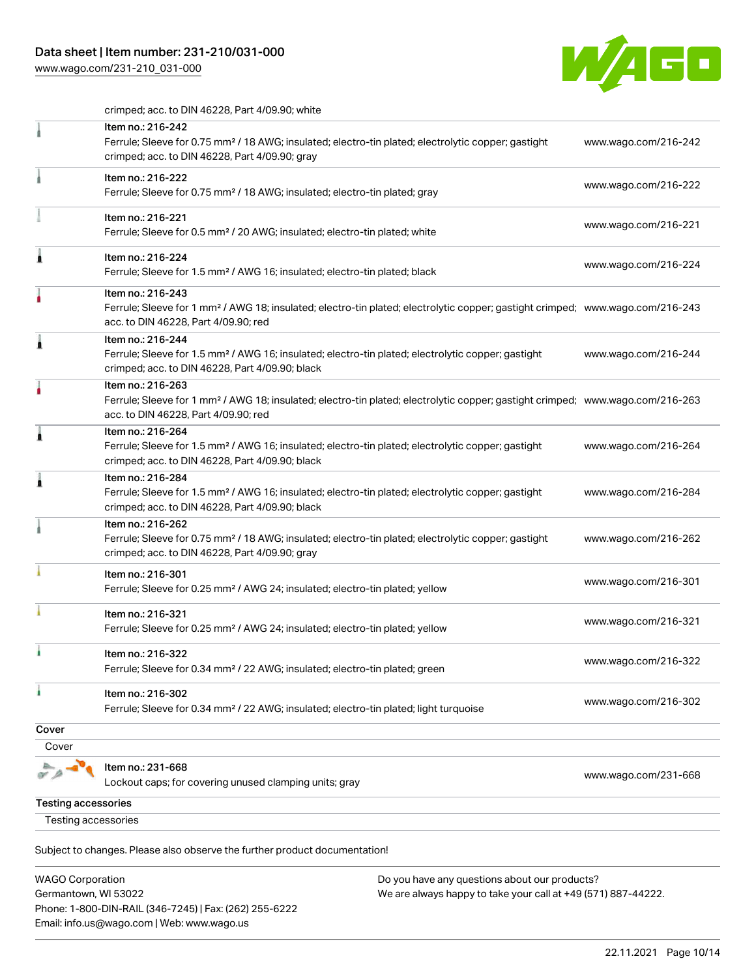# Data sheet | Item number: 231-210/031-000

[www.wago.com/231-210\\_031-000](http://www.wago.com/231-210_031-000)



crimped; acc. to DIN 46228, Part 4/09.90; white

|                            | Item no.: 216-242<br>Ferrule; Sleeve for 0.75 mm <sup>2</sup> / 18 AWG; insulated; electro-tin plated; electrolytic copper; gastight<br>crimped; acc. to DIN 46228, Part 4/09.90; gray                  | www.wago.com/216-242 |
|----------------------------|---------------------------------------------------------------------------------------------------------------------------------------------------------------------------------------------------------|----------------------|
|                            | Item no.: 216-222<br>Ferrule; Sleeve for 0.75 mm <sup>2</sup> / 18 AWG; insulated; electro-tin plated; gray                                                                                             | www.wago.com/216-222 |
|                            | Item no.: 216-221<br>Ferrule; Sleeve for 0.5 mm <sup>2</sup> / 20 AWG; insulated; electro-tin plated; white                                                                                             | www.wago.com/216-221 |
| 1                          | Item no.: 216-224<br>Ferrule; Sleeve for 1.5 mm <sup>2</sup> / AWG 16; insulated; electro-tin plated; black                                                                                             | www.wago.com/216-224 |
|                            | Item no.: 216-243<br>Ferrule; Sleeve for 1 mm <sup>2</sup> / AWG 18; insulated; electro-tin plated; electrolytic copper; gastight crimped; www.wago.com/216-243<br>acc. to DIN 46228, Part 4/09.90; red |                      |
| Â                          | Item no.: 216-244<br>Ferrule; Sleeve for 1.5 mm <sup>2</sup> / AWG 16; insulated; electro-tin plated; electrolytic copper; gastight<br>crimped; acc. to DIN 46228, Part 4/09.90; black                  | www.wago.com/216-244 |
|                            | Item no.: 216-263<br>Ferrule; Sleeve for 1 mm <sup>2</sup> / AWG 18; insulated; electro-tin plated; electrolytic copper; gastight crimped; www.wago.com/216-263<br>acc. to DIN 46228, Part 4/09.90; red |                      |
| ۸                          | Item no.: 216-264<br>Ferrule; Sleeve for 1.5 mm <sup>2</sup> / AWG 16; insulated; electro-tin plated; electrolytic copper; gastight<br>crimped; acc. to DIN 46228, Part 4/09.90; black                  | www.wago.com/216-264 |
| 1                          | Item no.: 216-284<br>Ferrule; Sleeve for 1.5 mm <sup>2</sup> / AWG 16; insulated; electro-tin plated; electrolytic copper; gastight<br>crimped; acc. to DIN 46228, Part 4/09.90; black                  | www.wago.com/216-284 |
|                            | Item no.: 216-262<br>Ferrule; Sleeve for 0.75 mm <sup>2</sup> / 18 AWG; insulated; electro-tin plated; electrolytic copper; gastight<br>crimped; acc. to DIN 46228, Part 4/09.90; gray                  | www.wago.com/216-262 |
|                            | Item no.: 216-301<br>Ferrule; Sleeve for 0.25 mm <sup>2</sup> / AWG 24; insulated; electro-tin plated; yellow                                                                                           | www.wago.com/216-301 |
|                            | Item no.: 216-321<br>Ferrule; Sleeve for 0.25 mm <sup>2</sup> / AWG 24; insulated; electro-tin plated; yellow                                                                                           | www.wago.com/216-321 |
| ì.                         | Item no.: 216-322<br>Ferrule; Sleeve for 0.34 mm <sup>2</sup> / 22 AWG; insulated; electro-tin plated; green                                                                                            | www.wago.com/216-322 |
| ۸                          | Item no.: 216-302<br>Ferrule; Sleeve for 0.34 mm <sup>2</sup> / 22 AWG; insulated; electro-tin plated; light turquoise                                                                                  | www.wago.com/216-302 |
| Cover                      |                                                                                                                                                                                                         |                      |
| Cover                      |                                                                                                                                                                                                         |                      |
|                            | Item no.: 231-668<br>Lockout caps; for covering unused clamping units; gray                                                                                                                             | www.wago.com/231-668 |
| <b>Testing accessories</b> |                                                                                                                                                                                                         |                      |
| Testing accessories        |                                                                                                                                                                                                         |                      |
|                            |                                                                                                                                                                                                         |                      |

| WAGO Corporation                                       | Do you have any questions about our products?                 |  |
|--------------------------------------------------------|---------------------------------------------------------------|--|
| Germantown, WI 53022                                   | We are always happy to take your call at +49 (571) 887-44222. |  |
| Phone: 1-800-DIN-RAIL (346-7245)   Fax: (262) 255-6222 |                                                               |  |
| Email: info.us@wago.com   Web: www.wago.us             |                                                               |  |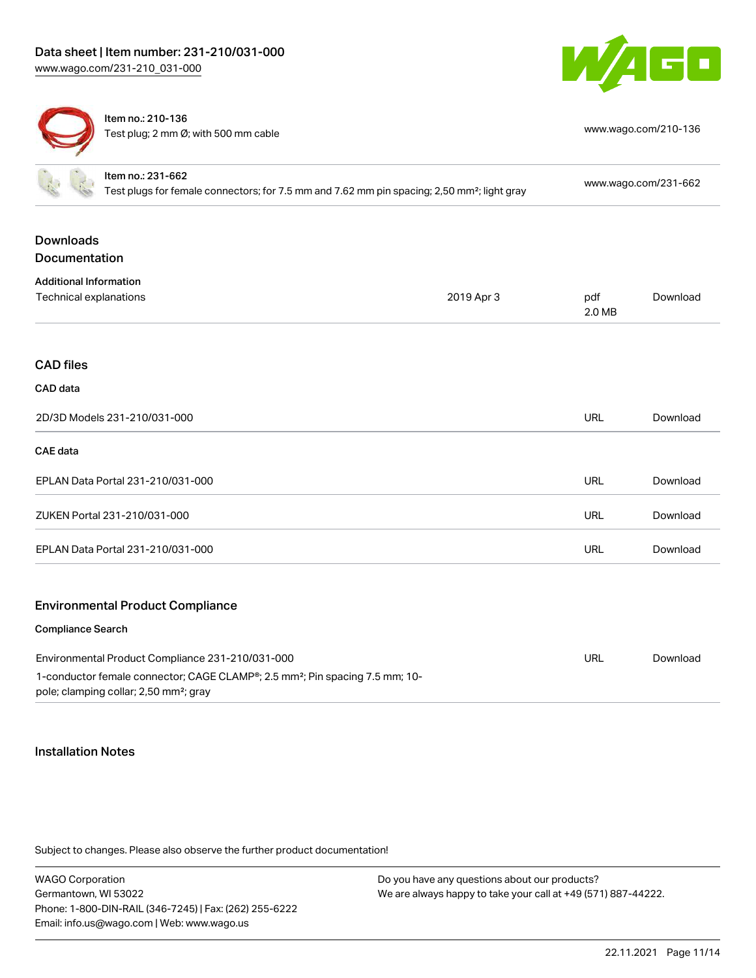



Item no.: 210-136 Test plug; 2 mm Ø; with 500 mm cable [www.wago.com/210-136](http://www.wago.com/210-136)

|                                                                                                                                                | Item no.: 231-662<br>Test plugs for female connectors; for 7.5 mm and 7.62 mm pin spacing; 2,50 mm <sup>2</sup> ; light gray |            | www.wago.com/231-662 |          |
|------------------------------------------------------------------------------------------------------------------------------------------------|------------------------------------------------------------------------------------------------------------------------------|------------|----------------------|----------|
|                                                                                                                                                |                                                                                                                              |            |                      |          |
| <b>Downloads</b>                                                                                                                               |                                                                                                                              |            |                      |          |
| Documentation                                                                                                                                  |                                                                                                                              |            |                      |          |
| <b>Additional Information</b>                                                                                                                  |                                                                                                                              |            |                      |          |
| Technical explanations                                                                                                                         |                                                                                                                              | 2019 Apr 3 | pdf<br>2.0 MB        | Download |
|                                                                                                                                                |                                                                                                                              |            |                      |          |
| <b>CAD files</b>                                                                                                                               |                                                                                                                              |            |                      |          |
| CAD data                                                                                                                                       |                                                                                                                              |            |                      |          |
| 2D/3D Models 231-210/031-000                                                                                                                   |                                                                                                                              | URL        | Download             |          |
| <b>CAE</b> data                                                                                                                                |                                                                                                                              |            |                      |          |
|                                                                                                                                                | EPLAN Data Portal 231-210/031-000                                                                                            |            | <b>URL</b>           | Download |
| ZUKEN Portal 231-210/031-000                                                                                                                   |                                                                                                                              |            | <b>URL</b>           | Download |
| EPLAN Data Portal 231-210/031-000                                                                                                              |                                                                                                                              |            | <b>URL</b>           | Download |
|                                                                                                                                                | <b>Environmental Product Compliance</b>                                                                                      |            |                      |          |
|                                                                                                                                                |                                                                                                                              |            |                      |          |
| <b>Compliance Search</b>                                                                                                                       |                                                                                                                              |            |                      |          |
| Environmental Product Compliance 231-210/031-000                                                                                               |                                                                                                                              |            | <b>URL</b>           | Download |
| 1-conductor female connector; CAGE CLAMP®; 2.5 mm <sup>2</sup> ; Pin spacing 7.5 mm; 10-<br>pole; clamping collar; 2,50 mm <sup>2</sup> ; gray |                                                                                                                              |            |                      |          |

#### Installation Notes

| <b>WAGO Corporation</b>                                | Do you have any questions about our products?                 |
|--------------------------------------------------------|---------------------------------------------------------------|
| Germantown, WI 53022                                   | We are always happy to take your call at +49 (571) 887-44222. |
| Phone: 1-800-DIN-RAIL (346-7245)   Fax: (262) 255-6222 |                                                               |
| Email: info.us@wago.com   Web: www.wago.us             |                                                               |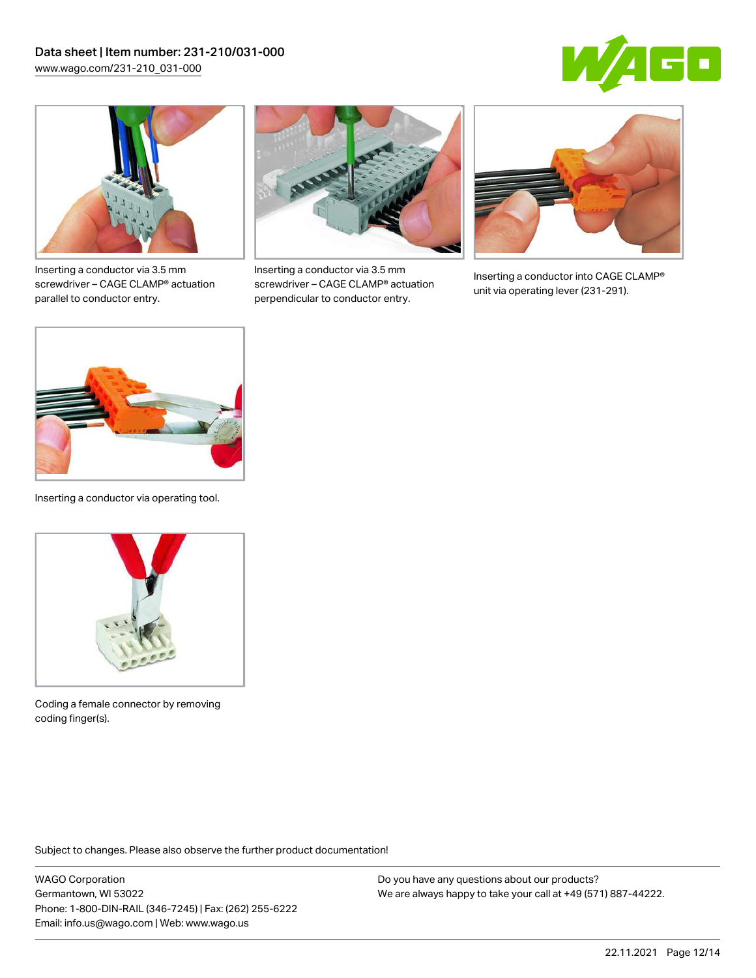



Inserting a conductor via 3.5 mm screwdriver – CAGE CLAMP® actuation parallel to conductor entry.



Inserting a conductor via 3.5 mm screwdriver – CAGE CLAMP® actuation perpendicular to conductor entry.



Inserting a conductor into CAGE CLAMP® unit via operating lever (231-291).



Inserting a conductor via operating tool.



Coding a female connector by removing coding finger(s).

Subject to changes. Please also observe the further product documentation!

WAGO Corporation Germantown, WI 53022 Phone: 1-800-DIN-RAIL (346-7245) | Fax: (262) 255-6222 Email: info.us@wago.com | Web: www.wago.us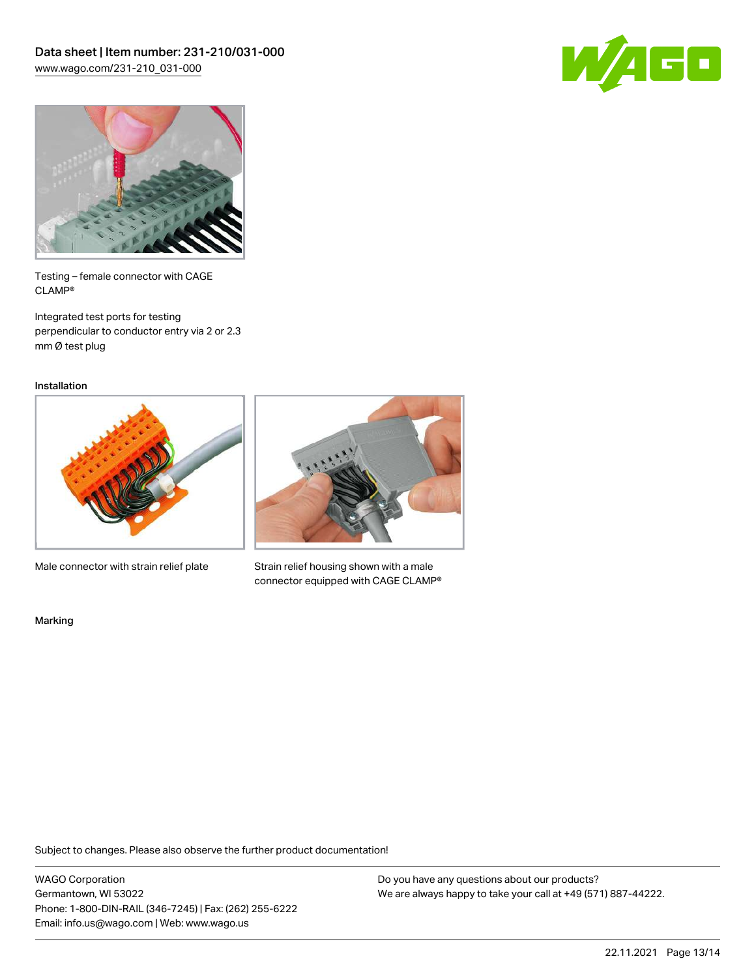



Testing – female connector with CAGE CLAMP®

Integrated test ports for testing perpendicular to conductor entry via 2 or 2.3 mm Ø test plug

Installation



Male connector with strain relief plate



Strain relief housing shown with a male connector equipped with CAGE CLAMP®

Marking

Subject to changes. Please also observe the further product documentation!

WAGO Corporation Germantown, WI 53022 Phone: 1-800-DIN-RAIL (346-7245) | Fax: (262) 255-6222 Email: info.us@wago.com | Web: www.wago.us